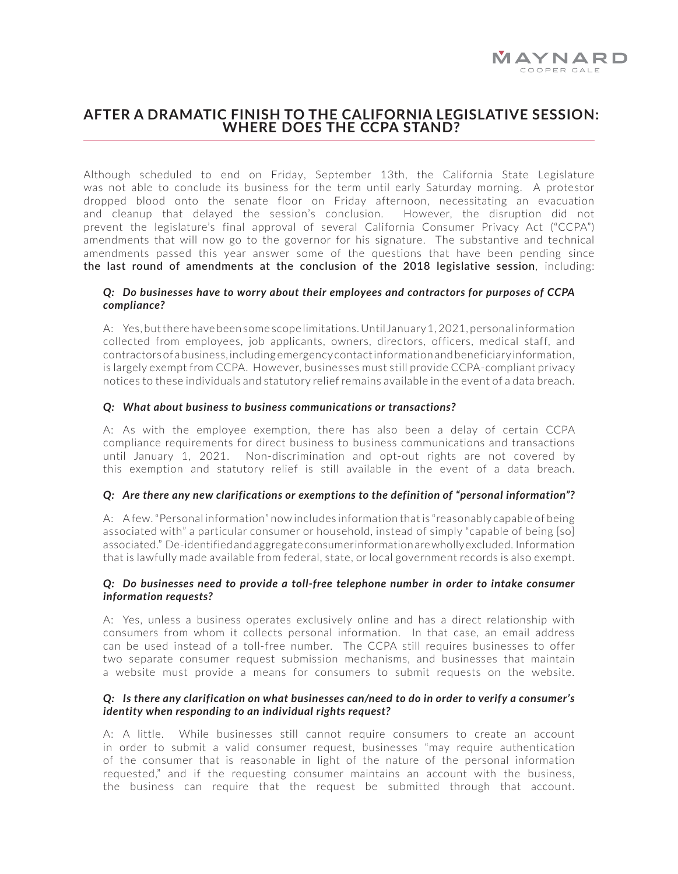# **AFTER A DRAMATIC FINISH TO THE CALIFORNIA LEGISLATIVE SESSION: WHERE DOES THE CCPA STAND?**

Although scheduled to end on Friday, September 13th, the California State Legislature was not able to conclude its business for the term until early Saturday morning. A protestor dropped blood onto the senate floor on Friday afternoon, necessitating an evacuation and cleanup that delayed the session's conclusion. However, the disruption did not prevent the legislature's final approval of several California Consumer Privacy Act ("CCPA") amendments that will now go to the governor for his signature. The substantive and technical amendments passed this year answer some of the questions that have been pending since **[the last round of amendments at the conclusion of the 2018 legislative session](https://leginfo.legislature.ca.gov/faces/billTextClient.xhtml?bill_id=201720180SB1121)**, including:

#### *Q: Do businesses have to worry about their employees and contractors for purposes of CCPA compliance?*

A: Yes, but there have been some scope limitations. Until January 1, 2021, personal information collected from employees, job applicants, owners, directors, officers, medical staff, and contractors of a business, including emergency contact information and beneficiary information, is largely exempt from CCPA. However, businesses must still provide CCPA-compliant privacy notices to these individuals and statutory relief remains available in the event of a data breach.

#### *Q: What about business to business communications or transactions?*

A: As with the employee exemption, there has also been a delay of certain CCPA compliance requirements for direct business to business communications and transactions until January 1, 2021. Non-discrimination and opt-out rights are not covered by this exemption and statutory relief is still available in the event of a data breach.

## *Q: Are there any new clarifications or exemptions to the definition of "personal information"?*

A: A few. "Personal information" now includes information that is "reasonably capable of being associated with" a particular consumer or household, instead of simply "capable of being [so] associated." De-identified and aggregate consumer information are wholly excluded. Information that is lawfully made available from federal, state, or local government records is also exempt.

## *Q: Do businesses need to provide a toll-free telephone number in order to intake consumer information requests?*

A: Yes, unless a business operates exclusively online and has a direct relationship with consumers from whom it collects personal information. In that case, an email address can be used instead of a toll-free number. The CCPA still requires businesses to offer two separate consumer request submission mechanisms, and businesses that maintain a website must provide a means for consumers to submit requests on the website.

## *Q: Is there any clarification on what businesses can/need to do in order to verify a consumer's identity when responding to an individual rights request?*

A: A little. While businesses still cannot require consumers to create an account in order to submit a valid consumer request, businesses "may require authentication of the consumer that is reasonable in light of the nature of the personal information requested," and if the requesting consumer maintains an account with the business, the business can require that the request be submitted through that account.